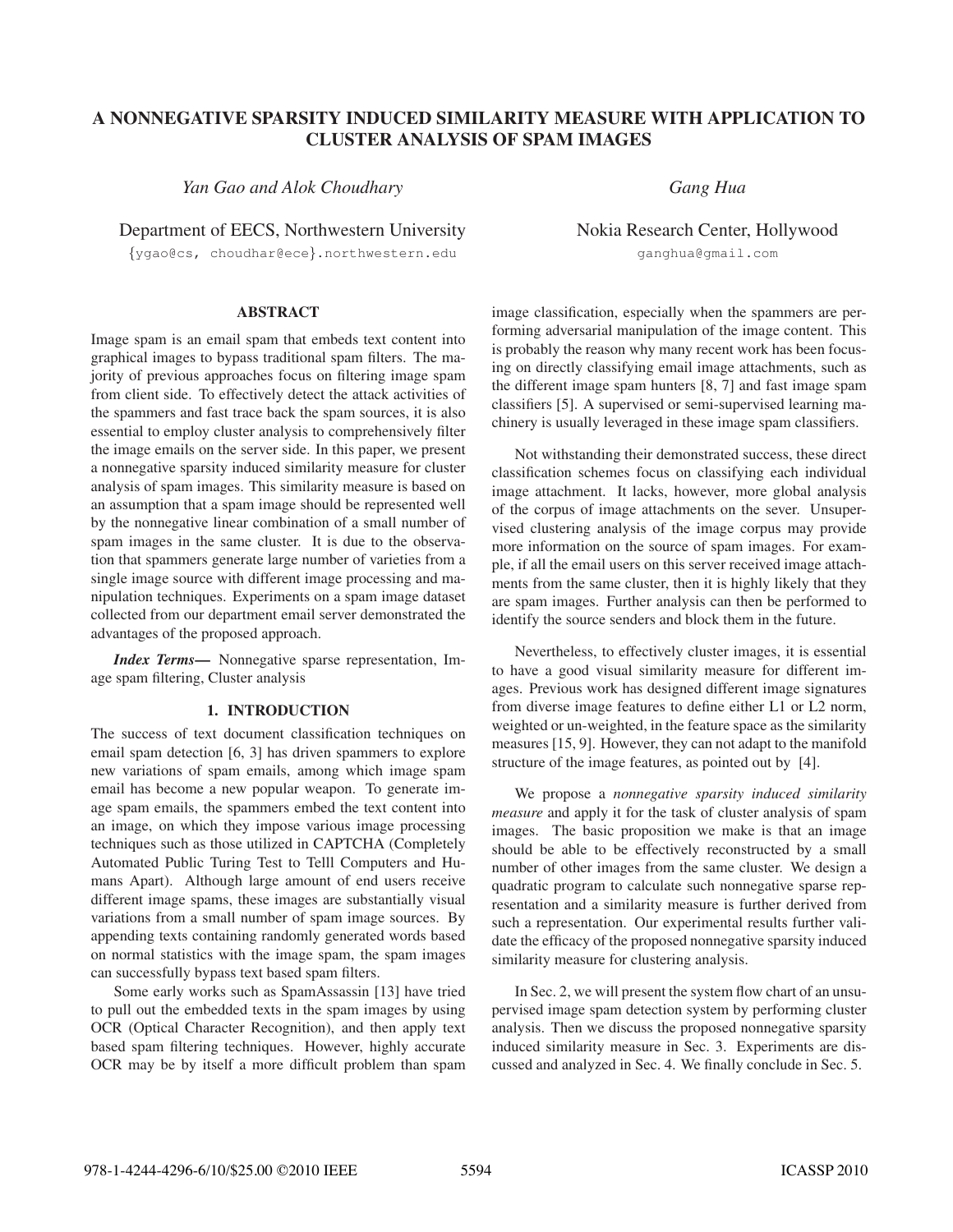# A NONNEGATIVE SPARSITY INDUCED SIMILARITY MEASURE WITH APPLICATION TO CLUSTER ANALYSIS OF SPAM IMAGES CLUSTER ANALYSIS OF SPAM IMAGES

*Yan Gao and Alok Choudhary*

Department of EECS, Northwestern University

{ygao@cs, choudhar@ece}.northwestern.edu

*Gang Hua*

Nokia Research Center, Hollywood ganghua@gmail.com

### **ABSTRACT** ABSTRACT

Image spam is an email spam that embeds text content into graphical images to bypass traditional spam filters. The majority of previous approaches focus on filtering image spam from client side. To effectively detect the attack activities of the spammers and fast trace back the spam sources, it is also essential to employ cluster analysis to comprehensively filter the image emails on the server side. In this paper, we present a nonnegative sparsity induced similarity measure for cluster analysis of spam images. This similarity measure is based on an assumption that a spam image should be represented well by the nonnegative linear combination of a small number of spam images in the same cluster. It is due to the observation that spammers generate large number of varieties from a single image source with different image processing and manipulation techniques. Experiments on a spam image dataset collected from our department email server demonstrated the advantages of the proposed approach.

*Index Terms*— Nonnegative sparse representation, Image spam filtering, Cluster analysis

The success of text document classification techniques on email spam detection [6, 3] has driven spammers to explore new variations of spam emails, among which image spam email has become a new popular weapon. To generate image spam emails, the spammers embed the text content into an image, on which they impose various image processing techniques such as those utilized in CAPTCHA (Completely Automated Public Turing Test to Telll Computers and Humans Apart). Although large amount of end users receive different image spams, these images are substantially visual variations from a small number of spam image sources. By appending texts containing randomly generated words based on normal statistics with the image spam, the spam images can successfully bypass text based spam filters.

Some early works such as SpamAssassin [13] have tried to pull out the embedded texts in the spam images by using OCR (Optical Character Recognition), and then apply text based spam filtering techniques. However, highly accurate OCR may be by itself a more difficult problem than spam image classification, especially when the spammers are performing adversarial manipulation of the image content. This is probably the reason why many recent work has been focusing on directly classifying email image attachments, such as the different image spam hunters [8, 7] and fast image spam classifiers [5]. A supervised or semi-supervised learning machinery is usually leveraged in these image spam classifiers.

Not withstanding their demonstrated success, these direct classification schemes focus on classifying each individual image attachment. It lacks, however, more global analysis of the corpus of image attachments on the sever. Unsupervised clustering analysis of the image corpus may provide more information on the source of spam images. For example, if all the email users on this server received image attachments from the same cluster, then it is highly likely that they are spam images. Further analysis can then be performed to identify the source senders and block them in the future.

Nevertheless, to effectively cluster images, it is essential to have a good visual similarity measure for different images. Previous work has designed different image signatures from diverse image features to define either L1 or L2 norm, weighted or un-weighted, in the feature space as the similarity measures [15, 9]. However, they can not adapt to the manifold structure of the image features, as pointed out by [4].

We propose a *nonnegative sparsity induced similarity measure* and apply it for the task of cluster analysis of spam images. The basic proposition we make is that an image should be able to be effectively reconstructed by a small number of other images from the same cluster. We design a quadratic program to calculate such nonnegative sparse representation and a similarity measure is further derived from such a representation. Our experimental results further validate the efficacy of the proposed nonnegative sparsity induced similarity measure for clustering analysis.

In Sec. 2, we will present the system flow chart of an unsupervised image spam detection system by performing cluster analysis. Then we discuss the proposed nonnegative sparsity induced similarity measure in Sec. 3. Experiments are discussed and analyzed in Sec. 4. We finally conclude in Sec. 5.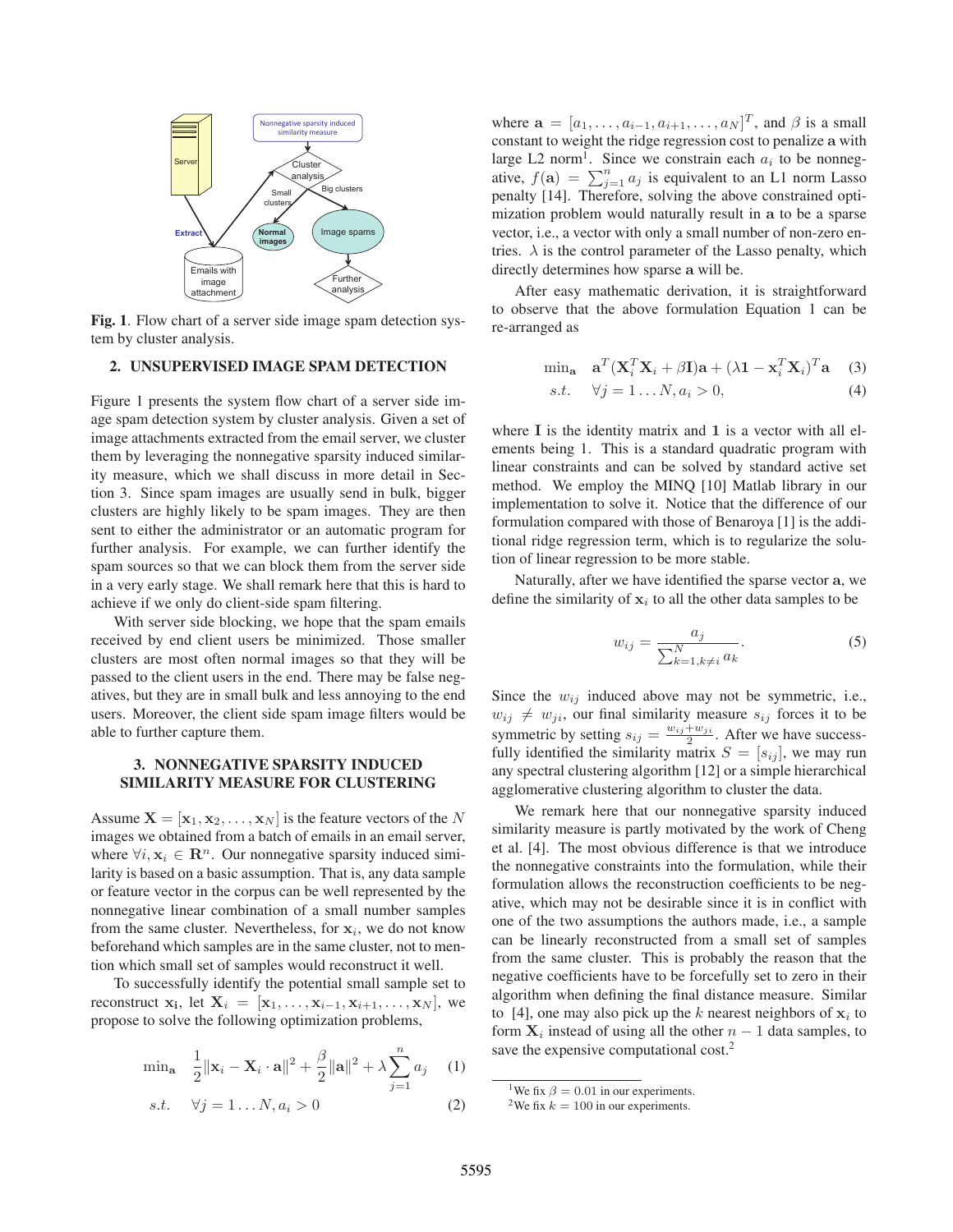

Fig. 1. Flow chart of a server side image spam detection system by cluster analysis.

# 2. UNSUPERVISED IMAGE SPAM DETECTION

Figure 1 presents the system flow chart of a server side image spam detection system by cluster analysis. Given a set of image attachments extracted from the email server, we cluster them by leveraging the nonnegative sparsity induced similarity measure, which we shall discuss in more detail in Section 3. Since spam images are usually send in bulk, bigger clusters are highly likely to be spam images. They are then sent to either the administrator or an automatic program for further analysis. For example, we can further identify the spam sources so that we can block them from the server side in a very early stage. We shall remark here that this is hard to achieve if we only do client-side spam filtering.

With server side blocking, we hope that the spam emails received by end client users be minimized. Those smaller clusters are most often normal images so that they will be passed to the client users in the end. There may be false negatives, but they are in small bulk and less annoying to the end users. Moreover, the client side spam image filters would be able to further capture them.

# 3. NONNEGATIVE SPARSITY INDUCED **SIMILARITY MEASURE FOR CLUSTERING** SIMILARITY MEASURE FOR CLUSTERING

Assume  $X = [\mathbf{x}_1, \mathbf{x}_2, \dots, \mathbf{x}_N]$  is the feature vectors of the N images we obtained from a batch of emails in an email server, where  $\forall i, \mathbf{x}_i \in \mathbb{R}^n$ . Our nonnegative sparsity induced similarity is based on a basic assumption. That is, any data sample or feature vector in the corpus can be well represented by the nonnegative linear combination of a small number samples from the same cluster. Nevertheless, for  $x_i$ , we do not know beforehand which samples are in the same cluster, not to mention which small set of samples would reconstruct it well.

To successfully identify the potential small sample set to reconstruct  $\mathbf{x}_i$ , let  $\mathbf{X}_i = [\mathbf{x}_1, \dots, \mathbf{x}_{i-1}, \mathbf{x}_{i+1}, \dots, \mathbf{x}_N]$ , we propose to solve the following optimization problems,

$$
\min_{\mathbf{a}} \quad \frac{1}{2} \|\mathbf{x}_i - \mathbf{X}_i \cdot \mathbf{a}\|^2 + \frac{\beta}{2} \|\mathbf{a}\|^2 + \lambda \sum_{j=1}^n a_j \quad (1)
$$

$$
s.t. \quad \forall j = 1 \dots N, a_i > 0 \tag{2}
$$

where  $\mathbf{a} = [a_1, \dots, a_{i-1}, a_{i+1}, \dots, a_N]^T$ , and  $\beta$  is a small<br>constant to weight the ridge regression cost to penalize a with constant to weight the ridge regression cost to penalize **a** with large L2 norm<sup>1</sup>. Since we constrain each  $a_i$  to be nonnegative,  $f(\mathbf{a}) = \sum_{j=1}^{n} a_j$  is equivalent to an L1 norm Lasso<br>penalty [14] Therefore, solving the above constrained ontipenalty [14]. Therefore, solving the above constrained optimization problem would naturally result in **a** to be a sparse vector, i.e., a vector with only a small number of non-zero entries.  $\lambda$  is the control parameter of the Lasso penalty, which directly determines how sparse **a** will be.

After easy mathematic derivation, it is straightforward to observe that the above formulation Equation 1 can be re-arranged as

$$
\min_{\mathbf{a}} \quad \mathbf{a}^T (\mathbf{X}_i^T \mathbf{X}_i + \beta \mathbf{I}) \mathbf{a} + (\lambda \mathbf{1} - \mathbf{x}_i^T \mathbf{X}_i)^T \mathbf{a} \tag{3}
$$

s.t. 
$$
\forall j = 1...N, a_i > 0,
$$
 (4)

where **I** is the identity matrix and **1** is a vector with all elements being 1. This is a standard quadratic program with linear constraints and can be solved by standard active set method. We employ the MINQ [10] Matlab library in our implementation to solve it. Notice that the difference of our formulation compared with those of Benaroya [1] is the additional ridge regression term, which is to regularize the solution of linear regression to be more stable.

Naturally, after we have identified the sparse vector **a**, we define the similarity of  $x_i$  to all the other data samples to be

$$
w_{ij} = \frac{a_j}{\sum_{k=1, k \neq i}^{N} a_k}.
$$
\n(5)

Since the  $w_{ij}$  induced above may not be symmetric, i.e.,  $w_{ij} \neq w_{ji}$ , our final similarity measure  $s_{ij}$  forces it to be symmetric by setting  $s_{ij} = \frac{w_{ij} + w_{ji}}{2}$ . After we have success-<br>fully identified the similarity matrix  $S = [s_{ij}]$ , we may run fully identified the similarity matrix  $S = [s_{ij}]$ , we may run any spectral clustering algorithm [12] or a simple hierarchical agglomerative clustering algorithm to cluster the data.

We remark here that our nonnegative sparsity induced similarity measure is partly motivated by the work of Cheng et al. [4]. The most obvious difference is that we introduce the nonnegative constraints into the formulation, while their formulation allows the reconstruction coefficients to be negative, which may not be desirable since it is in conflict with one of the two assumptions the authors made, i.e., a sample can be linearly reconstructed from a small set of samples from the same cluster. This is probably the reason that the negative coefficients have to be forcefully set to zero in their algorithm when defining the final distance measure. Similar to [4], one may also pick up the k nearest neighbors of  $x_i$  to form  $X_i$  instead of using all the other  $n-1$  data samples, to save the expensive computational cost.<sup>2</sup>

<sup>&</sup>lt;sup>1</sup>We fix  $\beta = 0.01$  in our experiments.

<sup>&</sup>lt;sup>2</sup>We fix  $k = 100$  in our experiments.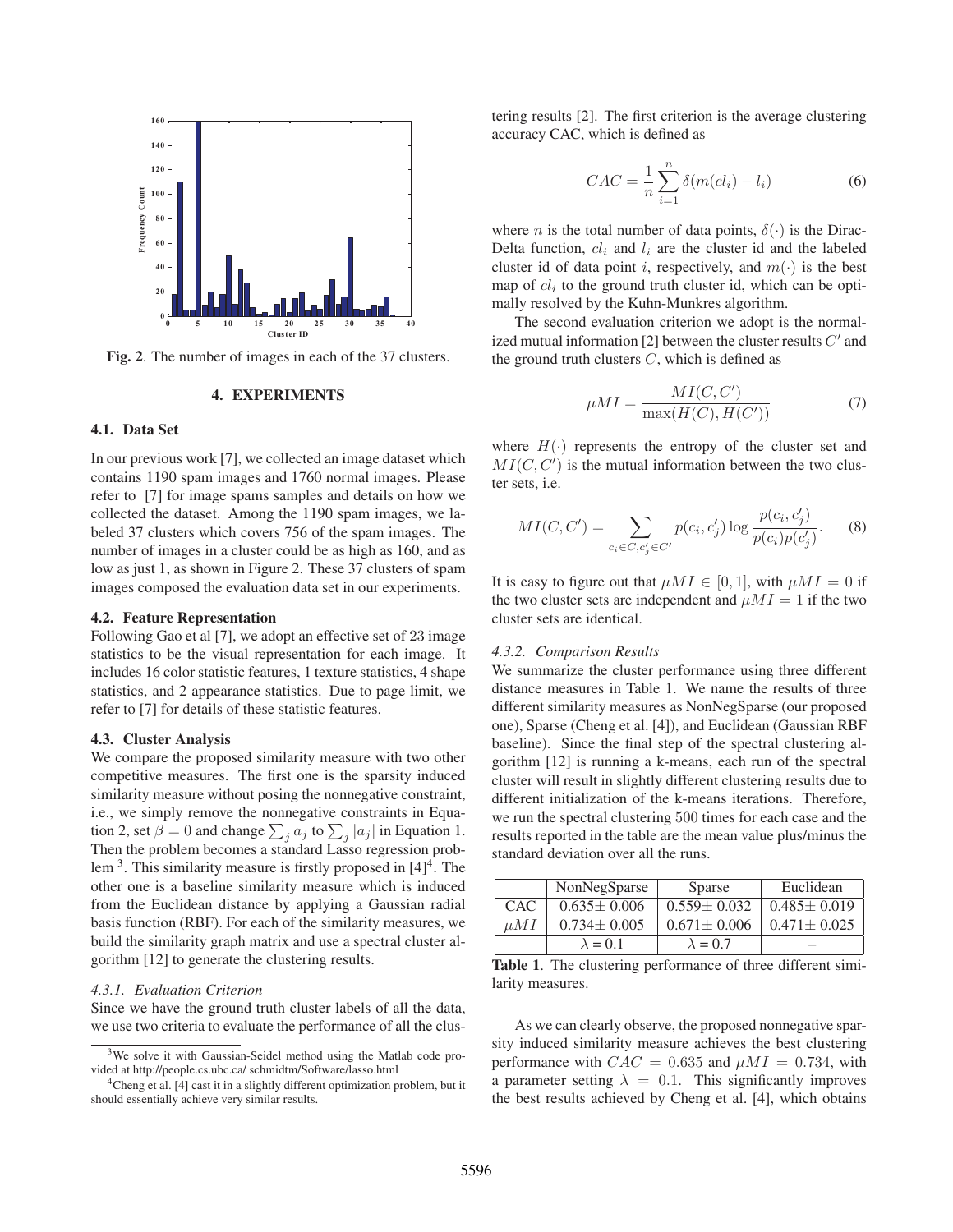

Fig. 2. The number of images in each of the 37 clusters.

## **4. EXPERIMENTS** 4. EXPERIMENTS

## 4.1. Data Set

In our previous work [7], we collected an image dataset which contains 1190 spam images and 1760 normal images. Please refer to [7] for image spams samples and details on how we collected the dataset. Among the 1190 spam images, we labeled 37 clusters which covers 756 of the spam images. The number of images in a cluster could be as high as 160, and as low as just 1, as shown in Figure 2. These 37 clusters of spam images composed the evaluation data set in our experiments.

Following Gao et al [7], we adopt an effective set of 23 image<br>statistics to be the visual representation for each image. It statistics to be the visual representation for each image. It includes 16 color statistic features, 1 texture statistics, 4 shape statistics, and 2 appearance statistics. Due to page limit, we refer to [7] for details of these statistic features.

We compare the proposed similarity measure with two other competitive measures. The first one is the sparsity induced similarity measure without posing the nonnegative constraint, i.e., we simply remove the nonnegative constraints in Equation 2, set  $\beta = 0$  and change  $\sum_{j} a_j$  to  $\sum_{j} |a_j|$  in Equation 1. Then the problem becomes a standard Lasso regression problem  $3$ . This similarity measure is firstly proposed in  $[4]^{4}$ . The other one is a baseline similarity measure which is induced from the Euclidean distance by applying a Gaussian radial basis function (RBF). For each of the similarity measures, we build the similarity graph matrix and use a spectral cluster algorithm [12] to generate the clustering results.

# *4.3.1. Evaluation Criterion*

Since we have the ground truth cluster labels of all the data, we use two criteria to evaluate the performance of all the clustering results [2]. The first criterion is the average clustering accuracy CAC, which is defined as

$$
CAC = \frac{1}{n} \sum_{i=1}^{n} \delta(m(cl_i) - l_i)
$$
 (6)

where *n* is the total number of data points,  $\delta(\cdot)$  is the Dirac-Delta function,  $cl_i$  and  $l_i$  are the cluster id and the labeled cluster id of data point i, respectively, and  $m(\cdot)$  is the best map of  $cl_i$  to the ground truth cluster id, which can be optimally resolved by the Kuhn-Munkres algorithm.

The second evaluation criterion we adopt is the normalized mutual information [2] between the cluster results  $C'$  and the ground truth clusters  $C$ , which is defined as

$$
\mu MI = \frac{MI(C, C')}{\max(H(C), H(C'))}
$$
\n(7)

where  $H(\cdot)$  represents the entropy of the cluster set and  $MI(C, C')$  is the mutual information between the two clus-<br>ter sets i.e ter sets, i.e.

$$
MI(C, C') = \sum_{c_i \in C, c'_j \in C'} p(c_i, c'_j) \log \frac{p(c_i, c'_j)}{p(c_i)p(c'_j)}.
$$
 (8)

It is easy to figure out that  $\mu M I \in [0, 1]$ , with  $\mu M I = 0$  if the two cluster sets are independent and  $\mu M I = 1$  if the two cluster sets are identical.

## *4.3.2. Comparison Results*

We summarize the cluster performance using three different distance measures in Table 1. We name the results of three different similarity measures as NonNegSparse (our proposed one), Sparse (Cheng et al. [4]), and Euclidean (Gaussian RBF baseline). Since the final step of the spectral clustering algorithm [12] is running a k-means, each run of the spectral cluster will result in slightly different clustering results due to different initialization of the k-means iterations. Therefore, we run the spectral clustering 500 times for each case and the results reported in the table are the mean value plus/minus the standard deviation over all the runs.

|      | NonNegSparse      | Sparse            | Euclidean         |
|------|-------------------|-------------------|-------------------|
| CAC. | $0.635 \pm 0.006$ | $0.559 \pm 0.032$ | $0.485 \pm 0.019$ |
| иMI  | $0.734 \pm 0.005$ | $0.671 \pm 0.006$ | $0.471 \pm 0.025$ |
|      | $\lambda = 0.1$   | $\lambda = 0.7$   |                   |

Table 1. The clustering performance of three different similarity measures.

As we can clearly observe, the proposed nonnegative sparsity induced similarity measure achieves the best clustering performance with  $CAC = 0.635$  and  $\mu MI = 0.734$ , with a parameter setting  $\lambda = 0.1$ . This significantly improves the best results achieved by Cheng et al. [4], which obtains

<sup>&</sup>lt;sup>3</sup>We solve it with Gaussian-Seidel method using the Matlab code provided at http://people.cs.ubc.ca/ schmidtm/Software/lasso.html

<sup>&</sup>lt;sup>4</sup>Cheng et al. [4] cast it in a slightly different optimization problem, but it should essentially achieve very similar results.